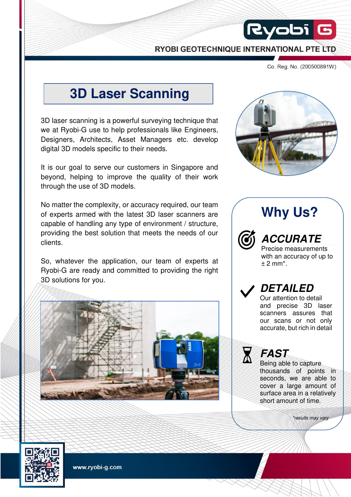RYOBI GEOTECHNIQUE INTERNATIONAL PTE LTD

Co. Reg. No. (200500891W)

# **3D Laser Scanning**

3D laser scanning is a powerful surveying technique that we at Ryobi-G use to help professionals like Engineers, Designers, Architects, Asset Managers etc. develop digital 3D models specific to their needs.

It is our goal to serve our customers in Singapore and beyond, helping to improve the quality of their work through the use of 3D models.

No matter the complexity, or accuracy required, our team of experts armed with the latest 3D laser scanners are capable of handling any type of environment / structure, providing the best solution that meets the needs of our clients.

So, whatever the application, our team of experts at Ryobi-G are ready and committed to providing the right 3D solutions for you.





 $|R$ yobi $|$ 

# **Why Us?**



**ACCURATE** Precise measurements

with an accuracy of up to  $+2$  mm<sup>\*</sup>.



Our attention to detail and precise 3D laser scanners assures that our scans or not only accurate, but rich in detail



Being able to capture thousands of points in seconds, we are able to cover a large amount of surface area in a relatively short amount of time.

\*results may vary